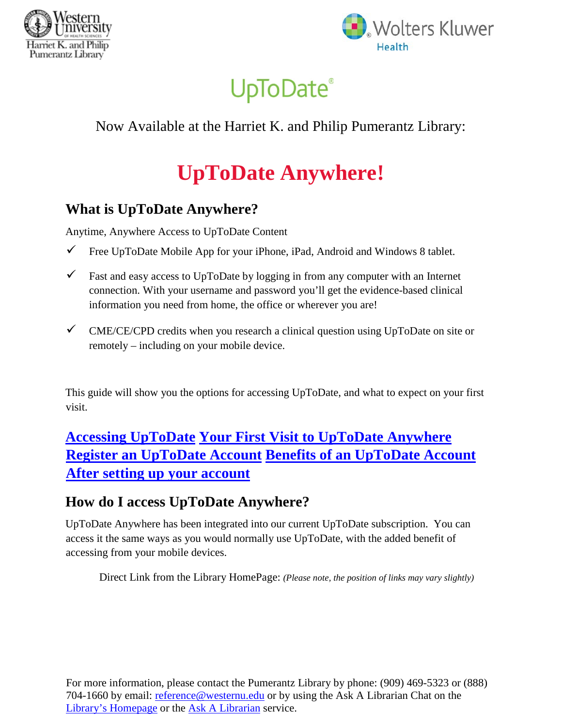



# **UpToDate®**

## Now Available at the Harriet K. and Philip Pumerantz Library:

# **UpToDate Anywhere!**

### **What is UpToDate Anywhere?**

Anytime, Anywhere Access to UpToDate Content

- $\checkmark$  Free UpToDate Mobile App for your iPhone, iPad, Android and Windows 8 tablet.
- $\checkmark$  Fast and easy access to UpToDate by logging in from any computer with an Internet connection. With your username and password you'll get the evidence-based clinical information you need from home, the office or wherever you are!
- $\checkmark$  CME/CE/CPD credits when you research a clinical question using UpToDate on site or remotely – including on your mobile device.

This guide will show you the options for accessing UpToDate, and what to expect on your first visit.

**Accessing UpToDate Your First Visit to UpToDate Anywhere Register an UpToDate Account Benefits of an UpToDate Account After setting up your account**

## **How do I access UpToDate Anywhere?**

UpToDate Anywhere has been integrated into our current UpToDate subscription. You can access it the same ways as you would normally use UpToDate, with the added benefit of accessing from your mobile devices.

Direct Link from the Library HomePage: *(Please note, the position of links may vary slightly)*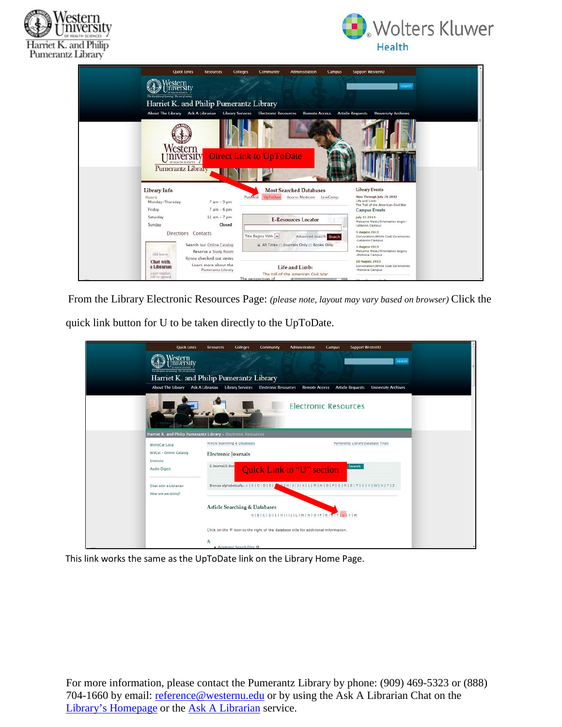



|                                                             | <b>Quick Links</b><br><b>Resources</b>                                       | <b>Colleges</b><br>Community   | <b>Administration</b>                                | <b>Support WesternU</b><br><b>Campus</b>           |                                                            |
|-------------------------------------------------------------|------------------------------------------------------------------------------|--------------------------------|------------------------------------------------------|----------------------------------------------------|------------------------------------------------------------|
| estern<br>The discussion of fourning. The art of curing     |                                                                              |                                |                                                      |                                                    | Search                                                     |
|                                                             | Harriet K. and Philip Pumerantz Library                                      |                                |                                                      |                                                    |                                                            |
|                                                             | About The Library Ask A Librarian Library Services Electronic Resources      |                                |                                                      | <b>Remote Access Article Requests</b>              | <b>University Archives</b>                                 |
|                                                             | Western<br>mversit<br>20 YEAR TH SCIENCES<br>Pumerantz Library               | <b>Direct Link to UpToDate</b> |                                                      |                                                    |                                                            |
| Library Info                                                |                                                                              |                                | <b>Most Searched Databases</b>                       | <b>Library Events</b>                              |                                                            |
| <b>Hours</b><br>Monday-Thursday                             | $7 am - 9 pm$                                                                | <b>UpToDate</b><br>PubMed      | Access Medicine LexiComp                             | Life and Limb:                                     | Now Through July 31 2013                                   |
| Friday                                                      | $7$ am $-6$ pm                                                               |                                |                                                      |                                                    | The Toll of the American Civil War<br><b>Campus Events</b> |
| Saturday<br>Sunday                                          | $11 am - 7 pm$<br>Closed                                                     |                                | <b>E-Resources Locator</b>                           | July 31 2013<br>Lebanon Campus                     | Welcome Week/Orientation begin-                            |
|                                                             | Directions Contacts                                                          | Title Begins With              | Advanced search Search                               | <b>E105 TAUDILA E</b>                              | Convocation/White Coat Ceremonies                          |
| click here to:                                              | Search our Online Catalog<br>Reserve a Study Room<br>Renew checked out items |                                | All Titles Journals Only & Books Only                | -Lebanon Campus<br>5 August 2013<br>-Pomona Camous | Welcome Week/Orientation begins                            |
| Chat with<br>a Librarian<br>a new window.<br>will be opened | Learn more about the<br>Pumerantz Library                                    | The perspectives of            | Life and Limb:<br>The toll of the American Civil War | <b>10 August 2013</b><br>-Pomona Campus            | Convocation/White Coat Ceremonies                          |

From the Library Electronic Resources Page: *(please note, layout may vary based on browser)* Click the quick link button for U to be taken directly to the UpToDate.

| <b>Quick Links</b>                                        | <b>Resources</b><br><b>Colleges</b>                            | Community<br>Administration                                                                                                | <b>Support WesternU</b><br>Campus |                            |
|-----------------------------------------------------------|----------------------------------------------------------------|----------------------------------------------------------------------------------------------------------------------------|-----------------------------------|----------------------------|
| estern<br>The discipline of leavering. The cet of costing |                                                                |                                                                                                                            |                                   | Search                     |
|                                                           | Harriet K. and Philip Pumerantz Library                        |                                                                                                                            |                                   |                            |
| <b>About The Library</b>                                  | <b>Ask A Librarian</b><br><b>Library Services</b>              | <b>Electronic Resources</b><br><b>Remote Access</b>                                                                        | <b>Article Requests</b>           | <b>University Archives</b> |
|                                                           |                                                                |                                                                                                                            | <b>Electronic Resources</b>       |                            |
|                                                           | Harriet K. and Philip Pumerantz Library » Electronic Resources |                                                                                                                            |                                   |                            |
| WorldCat Local                                            | Article Searching & Databases                                  |                                                                                                                            | Pumerantz Library Database Trials |                            |
| WUCat - Online Catalog                                    | <b>Electronic</b> Journals                                     |                                                                                                                            |                                   |                            |
| Endnote<br>Audio Digest                                   | E-Journal/E-Boo                                                | <b>Quick Link to "U" section</b>                                                                                           | Search                            |                            |
| Chat with a Librarian<br>How are we doing?                |                                                                | Browse alphabetically: A   B   C   D   E   A C   H   I   J   K   L   M   N   O   P   Q   R   S   T   U   V   W   X   Y   Z |                                   |                            |
|                                                           | Article Searching & Databases                                  | AIBICIDIEIHIIIJILIMINIOIPIRISITIUIVIW                                                                                      |                                   |                            |
|                                                           |                                                                | Click on the $\Theta$ icon to the right of the database title for additional information.                                  |                                   |                            |
|                                                           | · Academic Search Elite O                                      |                                                                                                                            |                                   |                            |

This link works the same as the UpToDate link on the Library Home Page.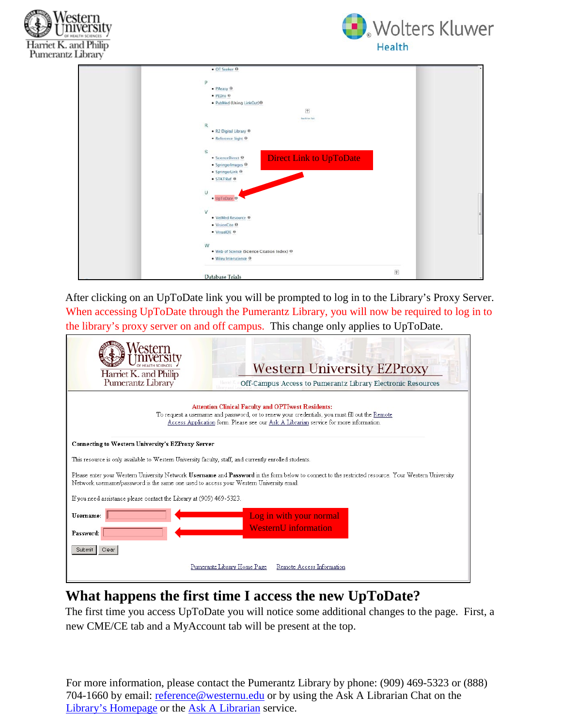



| • OT Seeker O                                       |                                        |
|-----------------------------------------------------|----------------------------------------|
|                                                     |                                        |
| D                                                   |                                        |
| $P$ Aeasy $\Theta$                                  |                                        |
| · PEDro ®                                           |                                        |
| · PubMed (Using LinkOut) 0                          |                                        |
| 团                                                   |                                        |
| back to list                                        |                                        |
| R.                                                  |                                        |
| . R2 Digital Library ®                              |                                        |
| · Reference Sight O                                 |                                        |
| S                                                   |                                        |
| <b>Direct Link to UpToDate</b><br>• ScienceDirect ® |                                        |
| $\bullet$ SpringerImages $\Theta$                   |                                        |
| · SpringerLink O                                    |                                        |
| · STATIRef O                                        |                                        |
|                                                     |                                        |
| $\cup$                                              |                                        |
| · UpToDate O                                        |                                        |
|                                                     |                                        |
| M                                                   |                                        |
| · VetMed Resource O                                 |                                        |
| · VisionCite O                                      |                                        |
| · VisualDX 0                                        |                                        |
| W                                                   |                                        |
| . Web of Science (Science Citation Index) 0         |                                        |
| $\bullet$ Wiley Interscience $\Theta$               |                                        |
|                                                     |                                        |
|                                                     | $\left\lceil \frac{1}{2} \right\rceil$ |
| Database Trials                                     |                                        |

After clicking on an UpToDate link you will be prompted to log in to the Library's Proxy Server. When accessing UpToDate through the Pumerantz Library, you will now be required to log in to the library's proxy server on and off campus. This change only applies to UpToDate.

| Harriet K. and Philip<br>Pumerantz Library                                                                                                                                                                                                           | <b>Western University EZProxy</b><br>Off-Campus Access to Pumerantz Library Electronic Resources |  |  |  |  |
|------------------------------------------------------------------------------------------------------------------------------------------------------------------------------------------------------------------------------------------------------|--------------------------------------------------------------------------------------------------|--|--|--|--|
| <b>Attention Clinical Faculty and OPTIwest Residents:</b><br>To request a username and password, or to renew your credentials, you must fill out the Remote<br>Access Application form. Please see our Ask A Librarian service for more information. |                                                                                                  |  |  |  |  |
| <b>Connecting to Western University's EZProxy Server</b>                                                                                                                                                                                             |                                                                                                  |  |  |  |  |
| This resource is only available to Western University faculty, staff, and currently enrolled students.                                                                                                                                               |                                                                                                  |  |  |  |  |
| Please enter your Western University Network Username and Password in the form below to connect to the restricted resource. Your Western University<br>Network username/password is the same one used to access your Western University email.       |                                                                                                  |  |  |  |  |
| If you need assistance please contact the Library at (909) 469-5323.                                                                                                                                                                                 |                                                                                                  |  |  |  |  |
| Username:<br>Log in with your normal                                                                                                                                                                                                                 |                                                                                                  |  |  |  |  |
| <b>WesternU</b> information<br>Password:                                                                                                                                                                                                             |                                                                                                  |  |  |  |  |
| Clear<br>Submit                                                                                                                                                                                                                                      |                                                                                                  |  |  |  |  |
|                                                                                                                                                                                                                                                      | Pumerantz Library Home Page<br>Remote Access Information                                         |  |  |  |  |

### **What happens the first time I access the new UpToDate?**

The first time you access UpToDate you will notice some additional changes to the page. First, a new CME/CE tab and a MyAccount tab will be present at the top.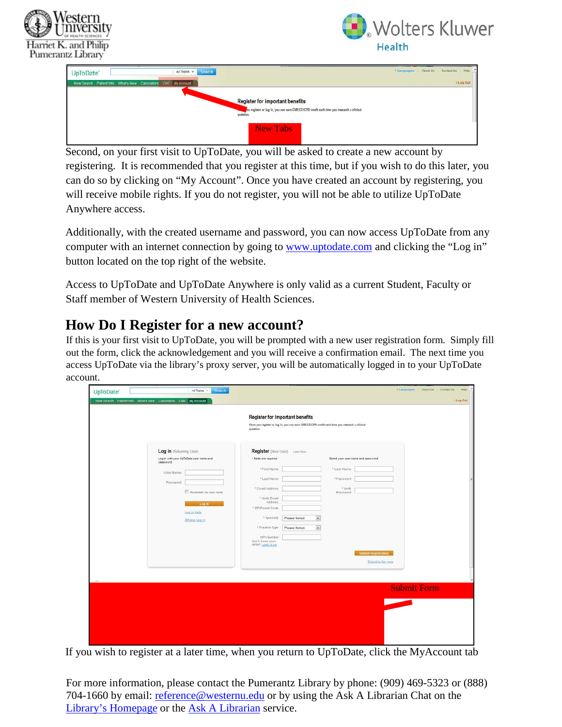



| UpToDate*<br>New Search Patient Info What's New Calculators CME My Account | All Topics v Search                                                                                                                            | I Languages About Us Contact Us Help | > Log Out |
|----------------------------------------------------------------------------|------------------------------------------------------------------------------------------------------------------------------------------------|--------------------------------------|-----------|
|                                                                            | <b>Register for important benefits</b><br>ou register or log in, you can earn CME/CE/CPD credit each time you research a clinical<br>question. |                                      |           |
|                                                                            | <b>New Tabs</b>                                                                                                                                |                                      |           |

Second, on your first visit to UpToDate, you will be asked to create a new account by registering. It is recommended that you register at this time, but if you wish to do this later, you can do so by clicking on "My Account". Once you have created an account by registering, you will receive mobile rights. If you do not register, you will not be able to utilize UpToDate Anywhere access.

Additionally, with the created username and password, you can now access UpToDate from any computer with an internet connection by going to **www.uptodate.com** and clicking the "Log in" button located on the top right of the website.

Access to UpToDate and UpToDate Anywhere is only valid as a current Student, Faculty or Staff member of Western University of Health Sciences.

#### **How Do I Register for a new account?**

If this is your first visit to UpToDate, you will be prompted with a new user registration form. Simply fill out the form, click the acknowledgement and you will receive a confirmation email. The next time you access UpToDate via the library's proxy server, you will be automatically logged in to your UpToDate account.

|                                                                                                                                                                              | <b>Register for important benefits</b><br>Once you register or log in, you can earn CME/CE/CPD credit each time you research a clinical                                                                                                                                                                                                                                                                     |                                         |
|------------------------------------------------------------------------------------------------------------------------------------------------------------------------------|-------------------------------------------------------------------------------------------------------------------------------------------------------------------------------------------------------------------------------------------------------------------------------------------------------------------------------------------------------------------------------------------------------------|-----------------------------------------|
| Log in (Returning User)<br>Log in with your UpToDate user name and<br>password.<br>User Name:<br>Password<br>Renember my user name<br>Log in<br>Log in help<br>Athens Log.in | question.<br>Register (New User) Lase Alive<br>* fields are required<br>Select your user name and password<br>* First Name<br>* User Name<br>*LastName<br>* Password<br>* Email Address<br>· Venty<br>Password<br>* Verify Email<br>Address<br>* ZIP/Postal Code<br>$\bullet$<br>* Specialty<br>Please Select<br>o<br>* Practice Type<br>Please Select<br>NPI Number<br>Don't know your<br>NP1#7 Look it up | Submit Registration                     |
|                                                                                                                                                                              |                                                                                                                                                                                                                                                                                                                                                                                                             | Skip this for now<br><b>Submit Form</b> |
|                                                                                                                                                                              |                                                                                                                                                                                                                                                                                                                                                                                                             |                                         |

If you wish to register at a later time, when you return to UpToDate, click the MyAccount tab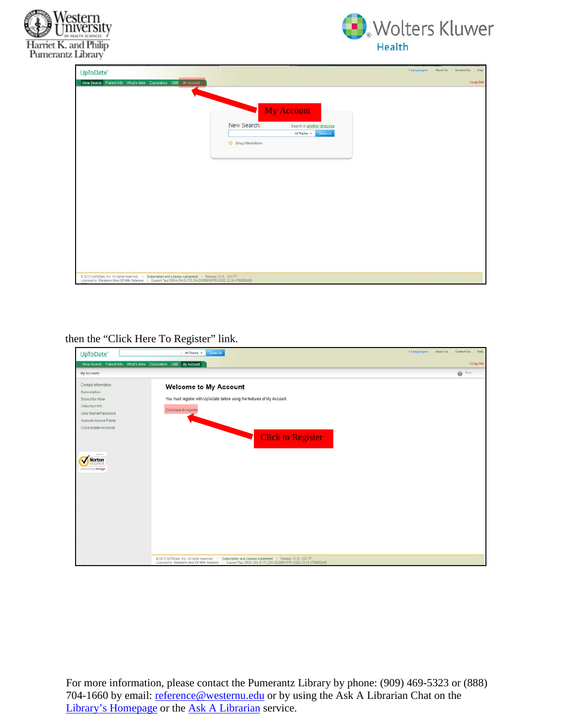



| UpToDate*                                                                                                                                                                                                                  |                     |                            | > Languages About Us Contact Us Help |
|----------------------------------------------------------------------------------------------------------------------------------------------------------------------------------------------------------------------------|---------------------|----------------------------|--------------------------------------|
| New Search Patient info What's New Calculators CME My Account                                                                                                                                                              |                     |                            | 1 Log Out                            |
|                                                                                                                                                                                                                            |                     |                            |                                      |
|                                                                                                                                                                                                                            |                     |                            |                                      |
|                                                                                                                                                                                                                            |                     | <b>My Account</b>          |                                      |
|                                                                                                                                                                                                                            | New Search:         | Search in another language |                                      |
|                                                                                                                                                                                                                            |                     | All Topics > Search        |                                      |
|                                                                                                                                                                                                                            | O Drug Interactions |                            |                                      |
|                                                                                                                                                                                                                            |                     |                            |                                      |
|                                                                                                                                                                                                                            |                     |                            |                                      |
|                                                                                                                                                                                                                            |                     |                            |                                      |
|                                                                                                                                                                                                                            |                     |                            |                                      |
|                                                                                                                                                                                                                            |                     |                            |                                      |
|                                                                                                                                                                                                                            |                     |                            |                                      |
|                                                                                                                                                                                                                            |                     |                            |                                      |
|                                                                                                                                                                                                                            |                     |                            |                                      |
|                                                                                                                                                                                                                            |                     |                            |                                      |
|                                                                                                                                                                                                                            |                     |                            |                                      |
|                                                                                                                                                                                                                            |                     |                            |                                      |
|                                                                                                                                                                                                                            |                     |                            |                                      |
| 0.2013 UpToDate, Inc. All rights reserved.   Subscription and License Agreement   Release: 21.6 - C21.77<br>Licensed to: Western Univ Of Hith Science   Support Tag: [0604-204.9.172.254-002BB54FFE-I1822.12.14-178889249] |                     |                            |                                      |

then the "Click Here To Register" link.

| UpToDate®                                                                                                                                 | All Topics<br>Search                                                                                                                                                                                                     | FLanguages About Us Contact Us<br>$H$ ela |
|-------------------------------------------------------------------------------------------------------------------------------------------|--------------------------------------------------------------------------------------------------------------------------------------------------------------------------------------------------------------------------|-------------------------------------------|
| New Search Patient Info What's New Calculators CME My Account                                                                             |                                                                                                                                                                                                                          | > Log Out                                 |
| My Account                                                                                                                                |                                                                                                                                                                                                                          | $\bigoplus$ Print                         |
| Contact Information<br>Subscription<br>Subscribe Now<br>CME/CE/CPD<br>User Name/Password<br>Account Access Points<br>Consolidate Accounts | <b>Welcome to My Account</b><br>You must register with UpToDate before using the features of My Account.<br>Click here to register                                                                                       |                                           |
| MATCO<br>Norton<br>ECURED<br>present by Verision                                                                                          | <b>Click to Register</b>                                                                                                                                                                                                 |                                           |
|                                                                                                                                           |                                                                                                                                                                                                                          |                                           |
|                                                                                                                                           | @ 2013 UpToDate, Inc. All rights reserved.   Subscription and License Agreement   Release: 21.6 - C21.77<br>Licensed to: Western Univ Of Hith Science   Support Tag (0604-204 9.172.254-0028854FFE-H822.12.14-178889249) |                                           |